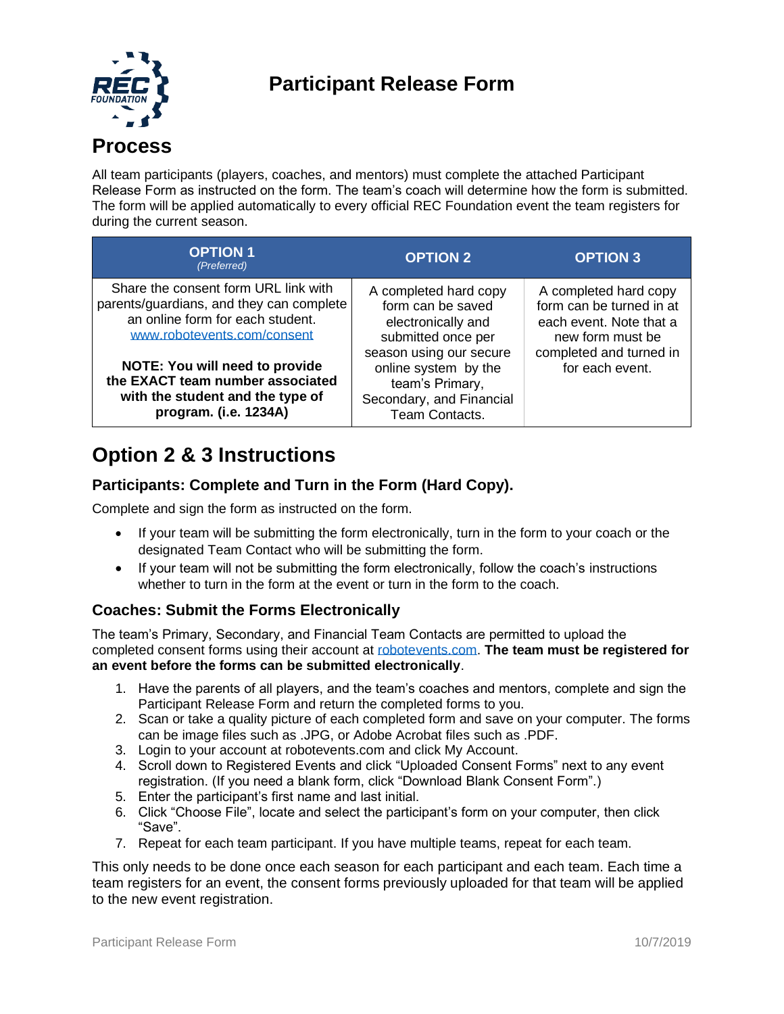# **Participant Release Form**



All team participants (players, coaches, and mentors) must complete the attached Participant Release Form as instructed on the form. The team's coach will determine how the form is submitted. The form will be applied automatically to every official REC Foundation event the team registers for during the current season.

| <b>OPTION 1</b><br>(Preferred)                                                                                                                      | <b>OPTION 2</b>                                                                                                  | <b>OPTION 3</b>                                                                                  |
|-----------------------------------------------------------------------------------------------------------------------------------------------------|------------------------------------------------------------------------------------------------------------------|--------------------------------------------------------------------------------------------------|
| Share the consent form URL link with<br>parents/guardians, and they can complete<br>an online form for each student.<br>www.robotevents.com/consent | A completed hard copy<br>form can be saved<br>electronically and<br>submitted once per                           | A completed hard copy<br>form can be turned in at<br>each event. Note that a<br>new form must be |
| <b>NOTE: You will need to provide</b><br>the EXACT team number associated<br>with the student and the type of<br>program. (i.e. 1234A)              | season using our secure<br>online system by the<br>team's Primary,<br>Secondary, and Financial<br>Team Contacts. | completed and turned in<br>for each event.                                                       |

## **Option 2 & 3 Instructions**

## **Participants: Complete and Turn in the Form (Hard Copy).**

Complete and sign the form as instructed on the form.

- If your team will be submitting the form electronically, turn in the form to your coach or the designated Team Contact who will be submitting the form.
- If your team will not be submitting the form electronically, follow the coach's instructions whether to turn in the form at the event or turn in the form to the coach.

### **Coaches: Submit the Forms Electronically**

The team's Primary, Secondary, and Financial Team Contacts are permitted to upload the completed consent forms using their account at [robotevents.com.](http://robotevents.com/) **The team must be registered for an event before the forms can be submitted electronically**.

- 1. Have the parents of all players, and the team's coaches and mentors, complete and sign the Participant Release Form and return the completed forms to you.
- 2. Scan or take a quality picture of each completed form and save on your computer. The forms can be image files such as .JPG, or Adobe Acrobat files such as .PDF.
- 3. Login to your account at robotevents.com and click My Account.
- 4. Scroll down to Registered Events and click "Uploaded Consent Forms" next to any event registration. (If you need a blank form, click "Download Blank Consent Form".)
- 5. Enter the participant's first name and last initial.
- 6. Click "Choose File", locate and select the participant's form on your computer, then click "Save".
- 7. Repeat for each team participant. If you have multiple teams, repeat for each team.

This only needs to be done once each season for each participant and each team. Each time a team registers for an event, the consent forms previously uploaded for that team will be applied to the new event registration.